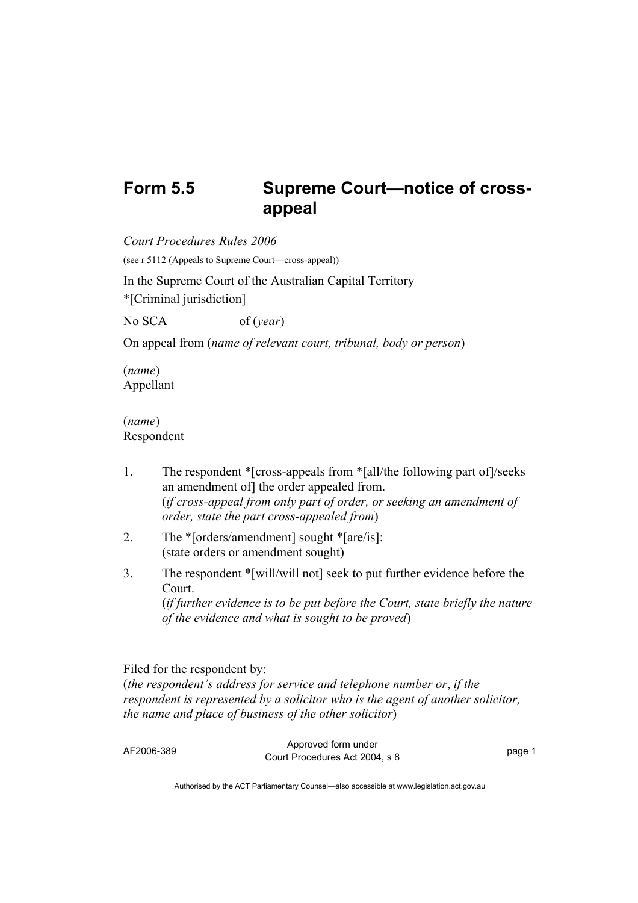## Form 5.5 Supreme Court-notice of cross**appeal**

*Court Procedures Rules 2006*  (see r 5112 (Appeals to Supreme Court—cross-appeal)) In the Supreme Court of the Australian Capital Territory \*[Criminal jurisdiction] No SCA of (*year*)

On appeal from (*name of relevant court, tribunal, body or person*)

(*name*) Appellant

(*name*) Respondent

- 1. The respondent \*[cross-appeals from \*[all/the following part of]/seeks an amendment of] the order appealed from. (*if cross-appeal from only part of order, or seeking an amendment of order, state the part cross-appealed from*)
- 2. The \*[orders/amendment] sought \*[are/is]: (state orders or amendment sought)
- 3. The respondent \*[will/will not] seek to put further evidence before the Court. (*if further evidence is to be put before the Court, state briefly the nature of the evidence and what is sought to be proved*)

Filed for the respondent by: (*the respondent's address for service and telephone number or*, *if the respondent is represented by a solicitor who is the agent of another solicitor, the name and place of business of the other solicitor*)

AF2006-389 Approved form under Procedures Act 2004, s 8 page 1

Authorised by the ACT Parliamentary Counsel—also accessible at www.legislation.act.gov.au